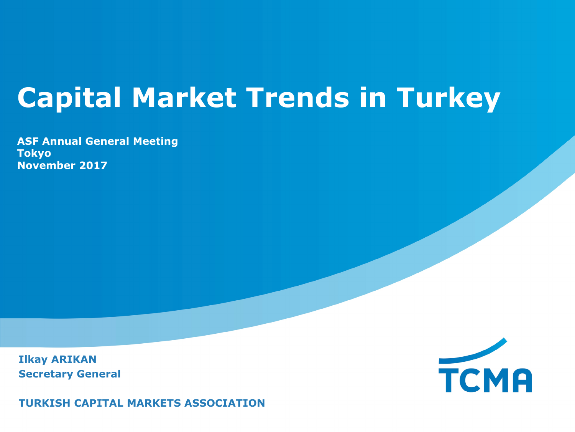# **Capital Market Trends in Turkey**

**ASF Annual General Meeting Tokyo November 2017**

**Ilkay ARIKAN Secretary General** 



**TURKISH CAPITAL MARKETS ASSOCIATION**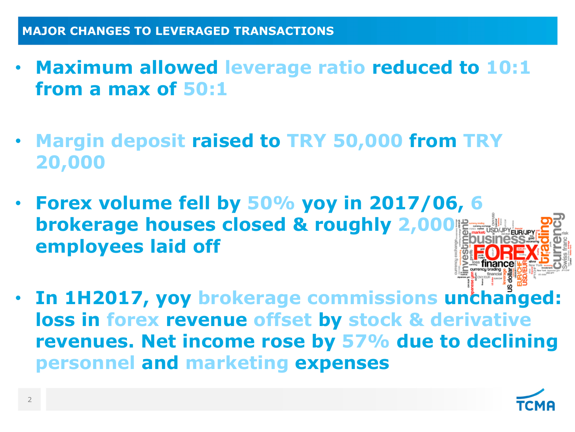- **Maximum allowed leverage ratio reduced to 10:1 from a max of 50:1**
- **Margin deposit raised to TRY 50,000 from TRY 20,000**
- **Forex volume fell by 50% yoy in 2017/06, 6 brokerage houses closed & roughly 2,000 employees laid off**
- **In 1H2017, yoy brokerage commissions unchanged: loss in forex revenue offset by stock & derivative revenues. Net income rose by 57% due to declining personnel and marketing expenses**

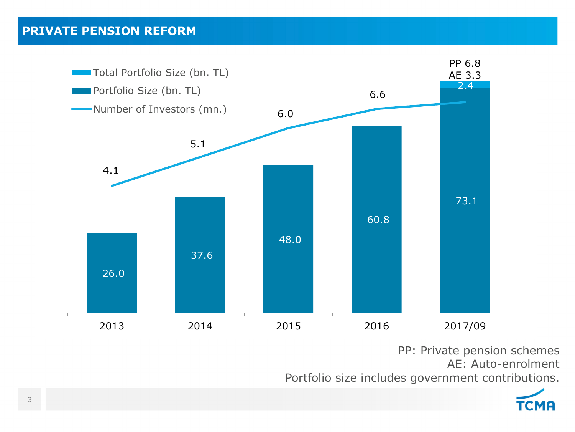#### **PRIVATE PENSION REFORM**



PP: Private pension schemes AE: Auto-enrolment Portfolio size includes government contributions.

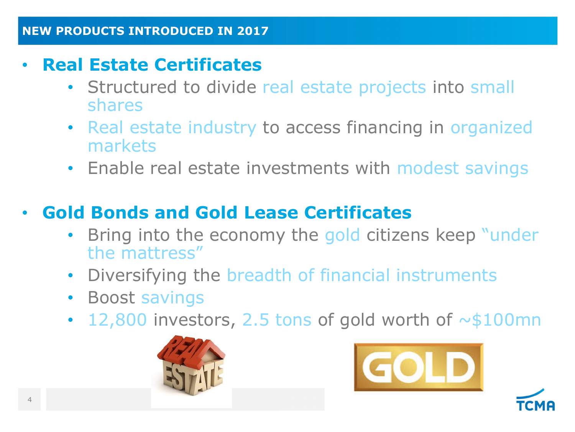### • **Real Estate Certificates**

- Structured to divide real estate projects into small shares
- Real estate industry to access financing in organized markets
- Enable real estate investments with modest savings

### • **Gold Bonds and Gold Lease Certificates**

- Bring into the economy the gold citizens keep "under" the mattress"
- Diversifying the breadth of financial instruments
- Boost savings
- 12,800 investors, 2.5 tons of gold worth of  $\sim$ \$100mn





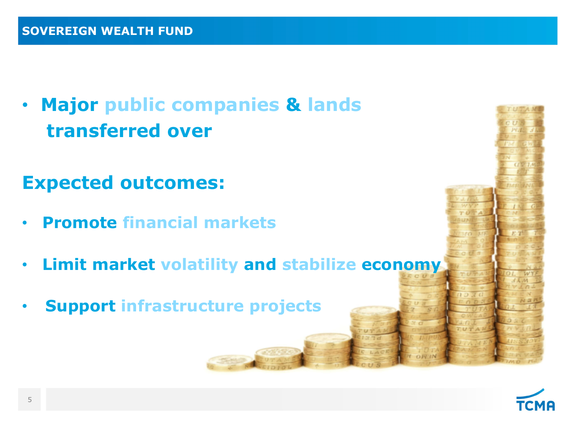• **Major public companies & lands transferred over**

**Expected outcomes:** 

- **Promote financial markets**
- **Limit market volatility and stabilize economy**
- **Support infrastructure projects**

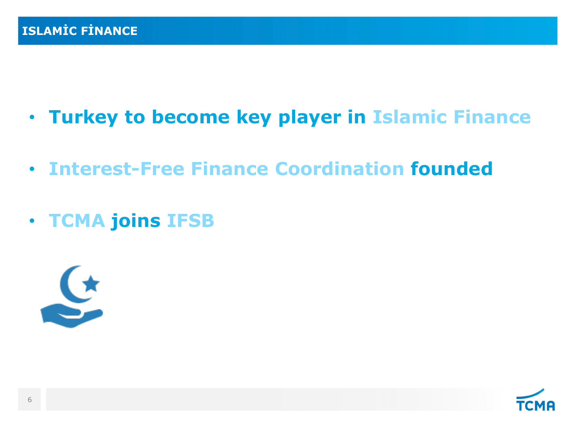- **Turkey to become key player in Islamic Finance**
- **Interest-Free Finance Coordination founded**
- **TCMA joins IFSB**



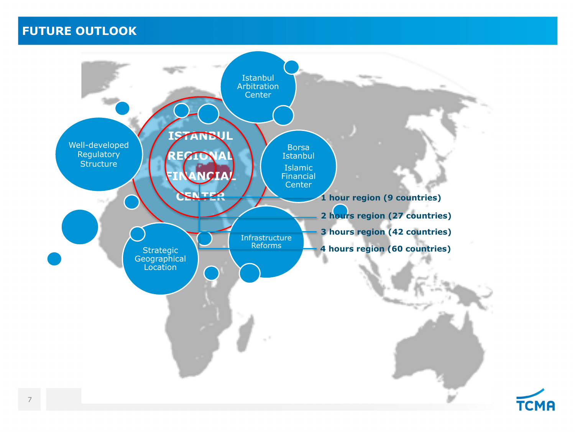#### **FUTURE OUTLOOK**



7